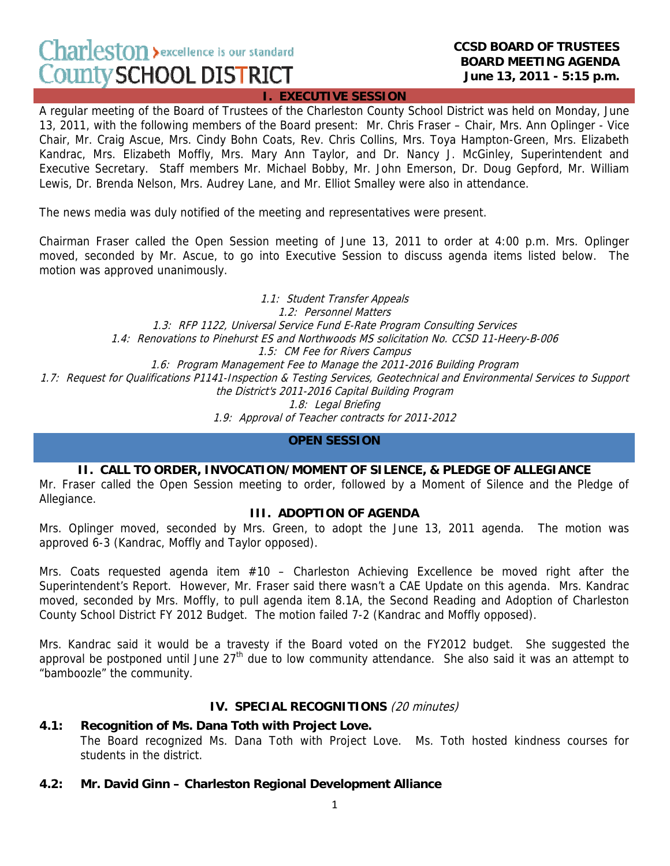# Charleston > excellence is our standard **County SCHOOL DISTRICT**

#### **CCSD BOARD OF TRUSTEES BOARD MEETING AGENDA June 13, 2011 - 5:15 p.m.**

#### **I. EXECUTIVE SESSION**

A regular meeting of the Board of Trustees of the Charleston County School District was held on Monday, June 13, 2011, with the following members of the Board present: Mr. Chris Fraser – Chair, Mrs. Ann Oplinger - Vice Chair, Mr. Craig Ascue, Mrs. Cindy Bohn Coats, Rev. Chris Collins, Mrs. Toya Hampton-Green, Mrs. Elizabeth Kandrac, Mrs. Elizabeth Moffly, Mrs. Mary Ann Taylor, and Dr. Nancy J. McGinley, Superintendent and Executive Secretary. Staff members Mr. Michael Bobby, Mr. John Emerson, Dr. Doug Gepford, Mr. William Lewis, Dr. Brenda Nelson, Mrs. Audrey Lane, and Mr. Elliot Smalley were also in attendance.

The news media was duly notified of the meeting and representatives were present.

Chairman Fraser called the Open Session meeting of June 13, 2011 to order at 4:00 p.m. Mrs. Oplinger moved, seconded by Mr. Ascue, to go into Executive Session to discuss agenda items listed below. The motion was approved unanimously.

1.1: Student Transfer Appeals 1.2: Personnel Matters 1.3: RFP 1122, Universal Service Fund E-Rate Program Consulting Services 1.4: Renovations to Pinehurst ES and Northwoods MS solicitation No. CCSD 11-Heery-B-006 1.5: CM Fee for Rivers Campus 1.6: Program Management Fee to Manage the 2011-2016 Building Program 1.7: Request for Qualifications P1141-Inspection & Testing Services, Geotechnical and Environmental Services to Support the District's 2011-2016 Capital Building Program 1.8: Legal Briefing 1.9: Approval of Teacher contracts for 2011-2012

#### **OPEN SESSION**

## **II. CALL TO ORDER, INVOCATION/MOMENT OF SILENCE, & PLEDGE OF ALLEGIANCE**

Mr. Fraser called the Open Session meeting to order, followed by a Moment of Silence and the Pledge of Allegiance.

## **III. ADOPTION OF AGENDA**

Mrs. Oplinger moved, seconded by Mrs. Green, to adopt the June 13, 2011 agenda. The motion was approved 6-3 (Kandrac, Moffly and Taylor opposed).

Mrs. Coats requested agenda item #10 - Charleston Achieving Excellence be moved right after the Superintendent's Report. However, Mr. Fraser said there wasn't a CAE Update on this agenda. Mrs. Kandrac moved, seconded by Mrs. Moffly, to pull agenda item 8.1A, the Second Reading and Adoption of Charleston County School District FY 2012 Budget. The motion failed 7-2 (Kandrac and Moffly opposed).

Mrs. Kandrac said it would be a travesty if the Board voted on the FY2012 budget. She suggested the approval be postponed until June  $27<sup>th</sup>$  due to low community attendance. She also said it was an attempt to "bamboozle" the community.

#### **IV. SPECIAL RECOGNITIONS** (20 minutes)

#### **4.1: Recognition of Ms. Dana Toth with Project Love.**

The Board recognized Ms. Dana Toth with Project Love. Ms. Toth hosted kindness courses for students in the district.

#### **4.2: Mr. David Ginn – Charleston Regional Development Alliance**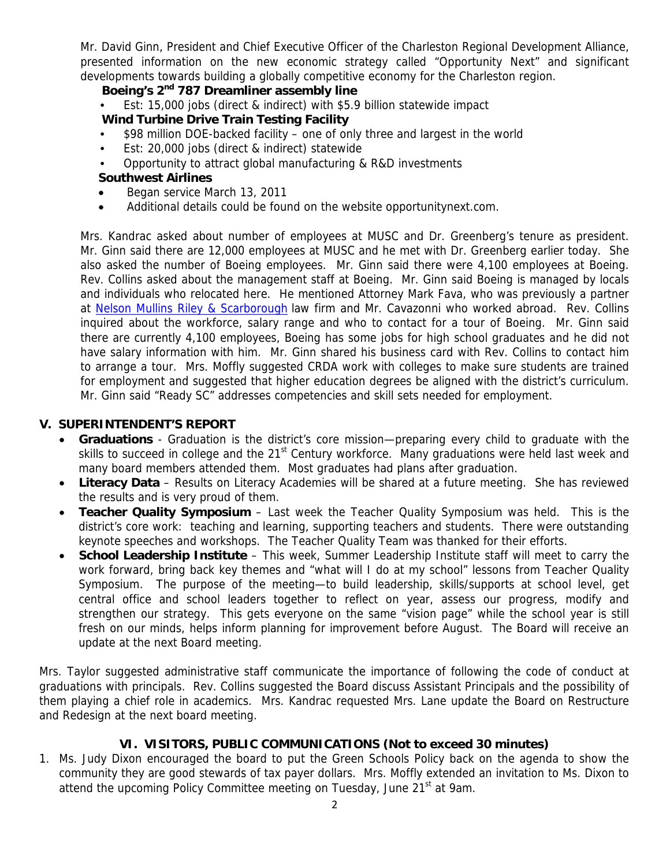Mr. David Ginn, President and Chief Executive Officer of the Charleston Regional Development Alliance, presented information on the new economic strategy called "Opportunity Next" and significant developments towards building a globally competitive economy for the Charleston region.

## **Boeing's 2nd 787 Dreamliner assembly line**

• Est: 15,000 jobs (direct & indirect) with \$5.9 billion statewide impact

# **Wind Turbine Drive Train Testing Facility**

- \$98 million DOE-backed facility one of only three and largest in the world
- Est: 20,000 jobs (direct & indirect) statewide
- Opportunity to attract global manufacturing & R&D investments

# **Southwest Airlines**

- Began service March 13, 2011
- Additional details could be found on the website opportunitynext.com.

Mrs. Kandrac asked about number of employees at MUSC and Dr. Greenberg's tenure as president. Mr. Ginn said there are 12,000 employees at MUSC and he met with Dr. Greenberg earlier today. She also asked the number of Boeing employees. Mr. Ginn said there were 4,100 employees at Boeing. Rev. Collins asked about the management staff at Boeing. Mr. Ginn said Boeing is managed by locals and individuals who relocated here. He mentioned Attorney Mark Fava, who was previously a partner at Nelson Mullins Riley & Scarborough law firm and Mr. Cavazonni who worked abroad. Rev. Collins inquired about the workforce, salary range and who to contact for a tour of Boeing. Mr. Ginn said there are currently 4,100 employees, Boeing has some jobs for high school graduates and he did not have salary information with him. Mr. Ginn shared his business card with Rev. Collins to contact him to arrange a tour. Mrs. Moffly suggested CRDA work with colleges to make sure students are trained for employment and suggested that higher education degrees be aligned with the district's curriculum. Mr. Ginn said "Ready SC" addresses competencies and skill sets needed for employment.

# **V. SUPERINTENDENT'S REPORT**

- **Graduations** Graduation is the district's core mission—preparing every child to graduate with the skills to succeed in college and the 21<sup>st</sup> Century workforce. Many graduations were held last week and many board members attended them. Most graduates had plans after graduation.
- **Literacy Data** Results on Literacy Academies will be shared at a future meeting. She has reviewed the results and is very proud of them.
- **Teacher Quality Symposium**  Last week the Teacher Quality Symposium was held. This is the district's core work: teaching and learning, supporting teachers and students. There were outstanding keynote speeches and workshops. The Teacher Quality Team was thanked for their efforts.
- **School Leadership Institute** This week, Summer Leadership Institute staff will meet to carry the work forward, bring back key themes and "what will I do at my school" lessons from Teacher Quality Symposium. The purpose of the meeting—to build leadership, skills/supports at school level, get central office and school leaders together to reflect on year, assess our progress, modify and strengthen our strategy. This gets everyone on the same "vision page" while the school year is still fresh on our minds, helps inform planning for improvement before August. The Board will receive an update at the next Board meeting.

Mrs. Taylor suggested administrative staff communicate the importance of following the code of conduct at graduations with principals. Rev. Collins suggested the Board discuss Assistant Principals and the possibility of them playing a chief role in academics. Mrs. Kandrac requested Mrs. Lane update the Board on Restructure and Redesign at the next board meeting.

# **VI. VISITORS, PUBLIC COMMUNICATIONS (Not to exceed 30 minutes)**

1. Ms. Judy Dixon encouraged the board to put the Green Schools Policy back on the agenda to show the community they are good stewards of tax payer dollars. Mrs. Moffly extended an invitation to Ms. Dixon to attend the upcoming Policy Committee meeting on Tuesday, June 21<sup>st</sup> at 9am.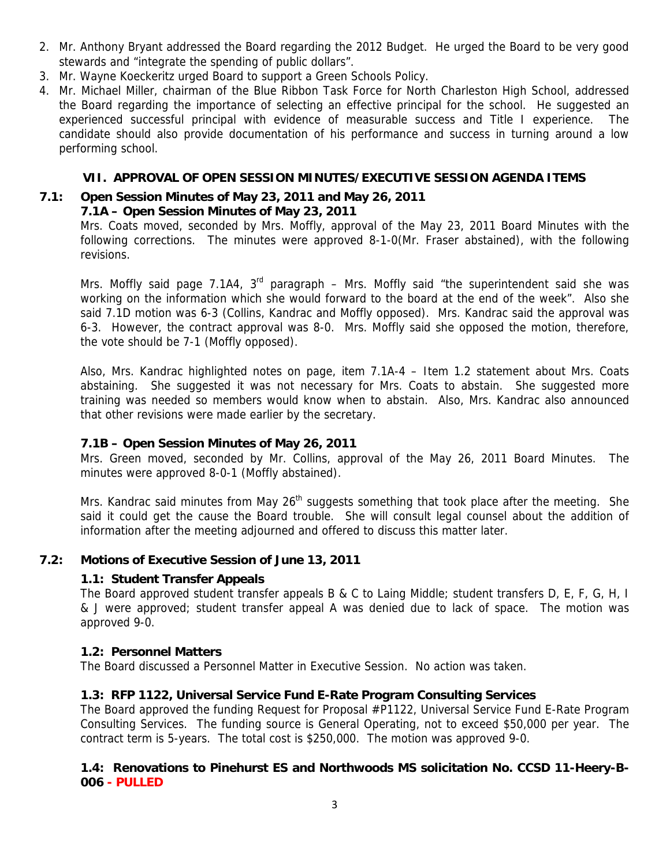- 2. Mr. Anthony Bryant addressed the Board regarding the 2012 Budget. He urged the Board to be very good stewards and "integrate the spending of public dollars".
- 3. Mr. Wayne Koeckeritz urged Board to support a Green Schools Policy.
- 4. Mr. Michael Miller, chairman of the Blue Ribbon Task Force for North Charleston High School, addressed the Board regarding the importance of selecting an effective principal for the school. He suggested an experienced successful principal with evidence of measurable success and Title I experience. The candidate should also provide documentation of his performance and success in turning around a low performing school.

# **VII. APPROVAL OF OPEN SESSION MINUTES/EXECUTIVE SESSION AGENDA ITEMS**

# **7.1: Open Session Minutes of May 23, 2011 and May 26, 2011**

# **7.1A – Open Session Minutes of May 23, 2011**

Mrs. Coats moved, seconded by Mrs. Moffly, approval of the May 23, 2011 Board Minutes with the following corrections. The minutes were approved 8-1-0(Mr. Fraser abstained), with the following revisions.

Mrs. Moffly said page 7.1A4,  $3<sup>rd</sup>$  paragraph – Mrs. Moffly said "the superintendent said she was working on the information which she would forward to the board at the end of the week". Also she said 7.1D motion was 6-3 (Collins, Kandrac and Moffly opposed). Mrs. Kandrac said the approval was 6-3. However, the contract approval was 8-0. Mrs. Moffly said she opposed the motion, therefore, the vote should be 7-1 (Moffly opposed).

Also, Mrs. Kandrac highlighted notes on page, item 7.1A-4 – Item 1.2 statement about Mrs. Coats abstaining. She suggested it was not necessary for Mrs. Coats to abstain. She suggested more training was needed so members would know when to abstain. Also, Mrs. Kandrac also announced that other revisions were made earlier by the secretary.

#### **7.1B – Open Session Minutes of May 26, 2011**

Mrs. Green moved, seconded by Mr. Collins, approval of the May 26, 2011 Board Minutes. The minutes were approved 8-0-1 (Moffly abstained).

Mrs. Kandrac said minutes from May 26<sup>th</sup> suggests something that took place after the meeting. She said it could get the cause the Board trouble. She will consult legal counsel about the addition of information after the meeting adjourned and offered to discuss this matter later.

#### **7.2: Motions of Executive Session of June 13, 2011**

#### **1.1: Student Transfer Appeals**

The Board approved student transfer appeals B & C to Laing Middle; student transfers D, E, F, G, H, I & J were approved; student transfer appeal A was denied due to lack of space. The motion was approved 9-0.

#### **1.2: Personnel Matters**

The Board discussed a Personnel Matter in Executive Session. No action was taken.

# **1.3: RFP 1122, Universal Service Fund E-Rate Program Consulting Services**

The Board approved the funding Request for Proposal #P1122, Universal Service Fund E-Rate Program Consulting Services. The funding source is General Operating, not to exceed \$50,000 per year. The contract term is 5-years. The total cost is \$250,000. The motion was approved 9-0.

# **1.4: Renovations to Pinehurst ES and Northwoods MS solicitation No. CCSD 11-Heery-B-006 - PULLED**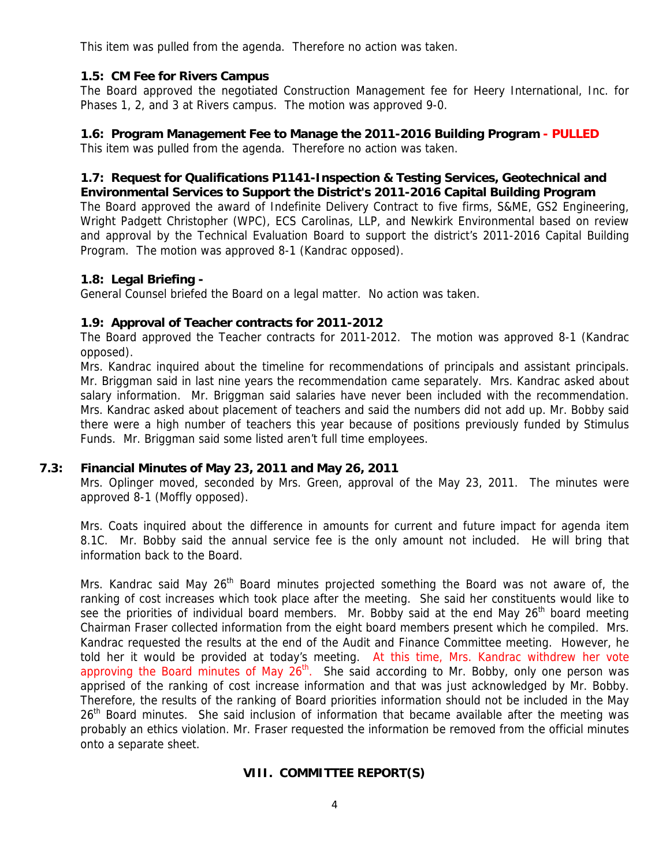This item was pulled from the agenda. Therefore no action was taken.

# **1.5: CM Fee for Rivers Campus**

The Board approved the negotiated Construction Management fee for Heery International, Inc. for Phases 1, 2, and 3 at Rivers campus. The motion was approved 9-0.

# **1.6: Program Management Fee to Manage the 2011-2016 Building Program - PULLED**

This item was pulled from the agenda. Therefore no action was taken.

#### **1.7: Request for Qualifications P1141-Inspection & Testing Services, Geotechnical and Environmental Services to Support the District's 2011-2016 Capital Building Program**

The Board approved the award of Indefinite Delivery Contract to five firms, S&ME, GS2 Engineering, Wright Padgett Christopher (WPC), ECS Carolinas, LLP, and Newkirk Environmental based on review and approval by the Technical Evaluation Board to support the district's 2011-2016 Capital Building Program. The motion was approved 8-1 (Kandrac opposed).

# **1.8: Legal Briefing -**

General Counsel briefed the Board on a legal matter. No action was taken.

#### **1.9: Approval of Teacher contracts for 2011-2012**

The Board approved the Teacher contracts for 2011-2012. The motion was approved 8-1 (Kandrac opposed).

Mrs. Kandrac inquired about the timeline for recommendations of principals and assistant principals. Mr. Briggman said in last nine years the recommendation came separately. Mrs. Kandrac asked about salary information. Mr. Briggman said salaries have never been included with the recommendation. Mrs. Kandrac asked about placement of teachers and said the numbers did not add up. Mr. Bobby said there were a high number of teachers this year because of positions previously funded by Stimulus Funds. Mr. Briggman said some listed aren't full time employees.

#### **7.3: Financial Minutes of May 23, 2011 and May 26, 2011**

Mrs. Oplinger moved, seconded by Mrs. Green, approval of the May 23, 2011. The minutes were approved 8-1 (Moffly opposed).

Mrs. Coats inquired about the difference in amounts for current and future impact for agenda item 8.1C. Mr. Bobby said the annual service fee is the only amount not included. He will bring that information back to the Board.

Mrs. Kandrac said May 26<sup>th</sup> Board minutes projected something the Board was not aware of, the ranking of cost increases which took place after the meeting. She said her constituents would like to see the priorities of individual board members. Mr. Bobby said at the end May 26<sup>th</sup> board meeting Chairman Fraser collected information from the eight board members present which he compiled. Mrs. Kandrac requested the results at the end of the Audit and Finance Committee meeting. However, he told her it would be provided at today's meeting. At this time, Mrs. Kandrac withdrew her vote approving the Board minutes of May  $26<sup>th</sup>$ . She said according to Mr. Bobby, only one person was apprised of the ranking of cost increase information and that was just acknowledged by Mr. Bobby. Therefore, the results of the ranking of Board priorities information should not be included in the May 26<sup>th</sup> Board minutes. She said inclusion of information that became available after the meeting was probably an ethics violation. Mr. Fraser requested the information be removed from the official minutes onto a separate sheet.

#### **VIII. COMMITTEE REPORT(S)**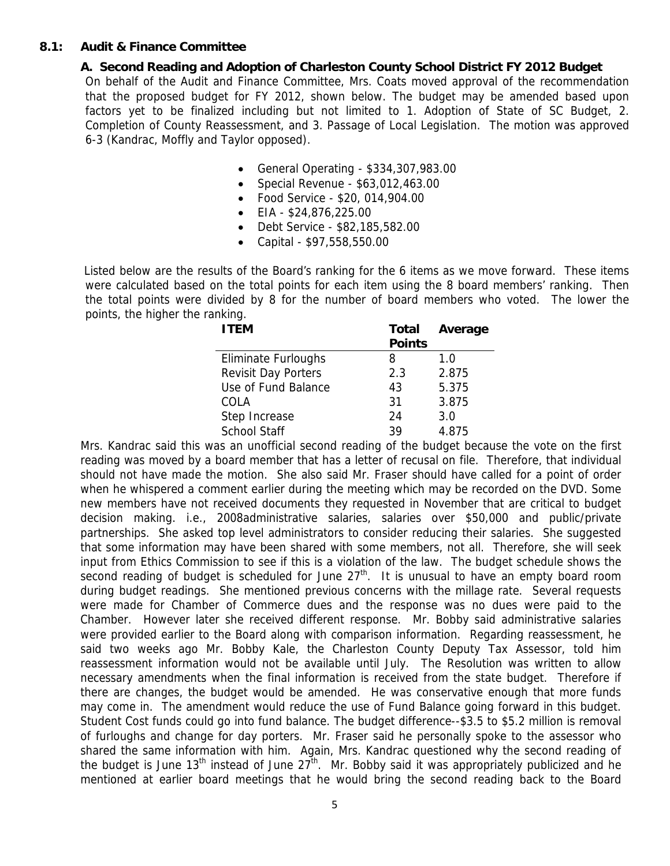# **8.1: Audit & Finance Committee**

**A. Second Reading and Adoption of Charleston County School District FY 2012 Budget**  On behalf of the Audit and Finance Committee, Mrs. Coats moved approval of the recommendation that the proposed budget for FY 2012, shown below. The budget may be amended based upon factors yet to be finalized including but not limited to 1. Adoption of State of SC Budget, 2. Completion of County Reassessment, and 3. Passage of Local Legislation. The motion was approved 6-3 (Kandrac, Moffly and Taylor opposed).

- General Operating \$334,307,983.00
- Special Revenue \$63,012,463.00
- Food Service \$20, 014,904.00
- EIA \$24,876,225.00
- Debt Service \$82,185,582.00
- Capital \$97,558,550.00

 Listed below are the results of the Board's ranking for the 6 items as we move forward. These items were calculated based on the total points for each item using the 8 board members' ranking. Then the total points were divided by 8 for the number of board members who voted. The lower the points, the higher the ranking.

| <b>ITEM</b>                | Total         | Average |
|----------------------------|---------------|---------|
|                            | <b>Points</b> |         |
| <b>Eliminate Furloughs</b> | 8             | 1.0     |
| <b>Revisit Day Porters</b> | 2.3           | 2.875   |
| Use of Fund Balance        | 43            | 5.375   |
| COLA                       | 31            | 3.875   |
| Step Increase              | 24            | 3.0     |
| <b>School Staff</b>        | 39            | 4.875   |

 Mrs. Kandrac said this was an unofficial second reading of the budget because the vote on the first reading was moved by a board member that has a letter of recusal on file. Therefore, that individual should not have made the motion. She also said Mr. Fraser should have called for a point of order when he whispered a comment earlier during the meeting which may be recorded on the DVD. Some new members have not received documents they requested in November that are critical to budget decision making. i.e., 2008administrative salaries, salaries over \$50,000 and public/private partnerships. She asked top level administrators to consider reducing their salaries. She suggested that some information may have been shared with some members, not all. Therefore, she will seek input from Ethics Commission to see if this is a violation of the law. The budget schedule shows the second reading of budget is scheduled for June  $27<sup>th</sup>$ . It is unusual to have an empty board room during budget readings. She mentioned previous concerns with the millage rate. Several requests were made for Chamber of Commerce dues and the response was no dues were paid to the Chamber. However later she received different response. Mr. Bobby said administrative salaries were provided earlier to the Board along with comparison information. Regarding reassessment, he said two weeks ago Mr. Bobby Kale, the Charleston County Deputy Tax Assessor, told him reassessment information would not be available until July. The Resolution was written to allow necessary amendments when the final information is received from the state budget. Therefore if there are changes, the budget would be amended. He was conservative enough that more funds may come in. The amendment would reduce the use of Fund Balance going forward in this budget. Student Cost funds could go into fund balance. The budget difference--\$3.5 to \$5.2 million is removal of furloughs and change for day porters. Mr. Fraser said he personally spoke to the assessor who shared the same information with him. Again, Mrs. Kandrac questioned why the second reading of the budget is June 13<sup>th</sup> instead of June 27<sup>th</sup>. Mr. Bobby said it was appropriately publicized and he mentioned at earlier board meetings that he would bring the second reading back to the Board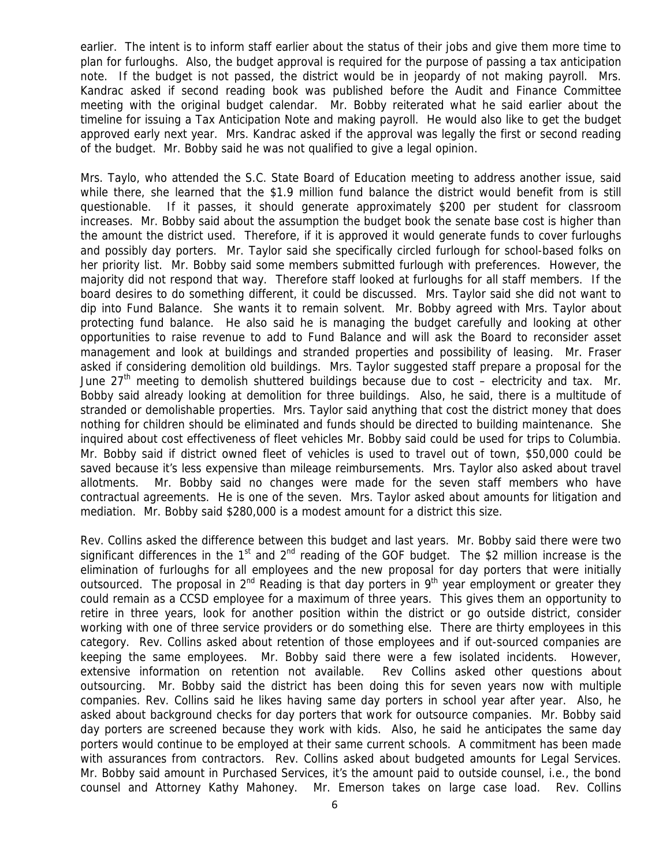earlier. The intent is to inform staff earlier about the status of their jobs and give them more time to plan for furloughs. Also, the budget approval is required for the purpose of passing a tax anticipation note. If the budget is not passed, the district would be in jeopardy of not making payroll. Mrs. Kandrac asked if second reading book was published before the Audit and Finance Committee meeting with the original budget calendar. Mr. Bobby reiterated what he said earlier about the timeline for issuing a Tax Anticipation Note and making payroll. He would also like to get the budget approved early next year. Mrs. Kandrac asked if the approval was legally the first or second reading of the budget. Mr. Bobby said he was not qualified to give a legal opinion.

 Mrs. Taylo, who attended the S.C. State Board of Education meeting to address another issue, said while there, she learned that the \$1.9 million fund balance the district would benefit from is still questionable. If it passes, it should generate approximately \$200 per student for classroom increases. Mr. Bobby said about the assumption the budget book the senate base cost is higher than the amount the district used. Therefore, if it is approved it would generate funds to cover furloughs and possibly day porters. Mr. Taylor said she specifically circled furlough for school-based folks on her priority list. Mr. Bobby said some members submitted furlough with preferences. However, the majority did not respond that way. Therefore staff looked at furloughs for all staff members. If the board desires to do something different, it could be discussed. Mrs. Taylor said she did not want to dip into Fund Balance. She wants it to remain solvent. Mr. Bobby agreed with Mrs. Taylor about protecting fund balance. He also said he is managing the budget carefully and looking at other opportunities to raise revenue to add to Fund Balance and will ask the Board to reconsider asset management and look at buildings and stranded properties and possibility of leasing. Mr. Fraser asked if considering demolition old buildings. Mrs. Taylor suggested staff prepare a proposal for the June  $27<sup>th</sup>$  meeting to demolish shuttered buildings because due to cost – electricity and tax. Mr. Bobby said already looking at demolition for three buildings. Also, he said, there is a multitude of stranded or demolishable properties. Mrs. Taylor said anything that cost the district money that does nothing for children should be eliminated and funds should be directed to building maintenance. She inquired about cost effectiveness of fleet vehicles Mr. Bobby said could be used for trips to Columbia. Mr. Bobby said if district owned fleet of vehicles is used to travel out of town, \$50,000 could be saved because it's less expensive than mileage reimbursements. Mrs. Taylor also asked about travel allotments. Mr. Bobby said no changes were made for the seven staff members who have contractual agreements. He is one of the seven. Mrs. Taylor asked about amounts for litigation and mediation. Mr. Bobby said \$280,000 is a modest amount for a district this size.

 Rev. Collins asked the difference between this budget and last years. Mr. Bobby said there were two significant differences in the  $1<sup>st</sup>$  and  $2<sup>nd</sup>$  reading of the GOF budget. The \$2 million increase is the elimination of furloughs for all employees and the new proposal for day porters that were initially outsourced. The proposal in  $2^{nd}$  Reading is that day porters in  $9<sup>th</sup>$  year employment or greater they could remain as a CCSD employee for a maximum of three years. This gives them an opportunity to retire in three years, look for another position within the district or go outside district, consider working with one of three service providers or do something else. There are thirty employees in this category. Rev. Collins asked about retention of those employees and if out-sourced companies are keeping the same employees. Mr. Bobby said there were a few isolated incidents. However, extensive information on retention not available. Rev Collins asked other questions about outsourcing. Mr. Bobby said the district has been doing this for seven years now with multiple companies. Rev. Collins said he likes having same day porters in school year after year. Also, he asked about background checks for day porters that work for outsource companies. Mr. Bobby said day porters are screened because they work with kids. Also, he said he anticipates the same day porters would continue to be employed at their same current schools. A commitment has been made with assurances from contractors. Rev. Collins asked about budgeted amounts for Legal Services. Mr. Bobby said amount in Purchased Services, it's the amount paid to outside counsel, i.e., the bond counsel and Attorney Kathy Mahoney. Mr. Emerson takes on large case load. Rev. Collins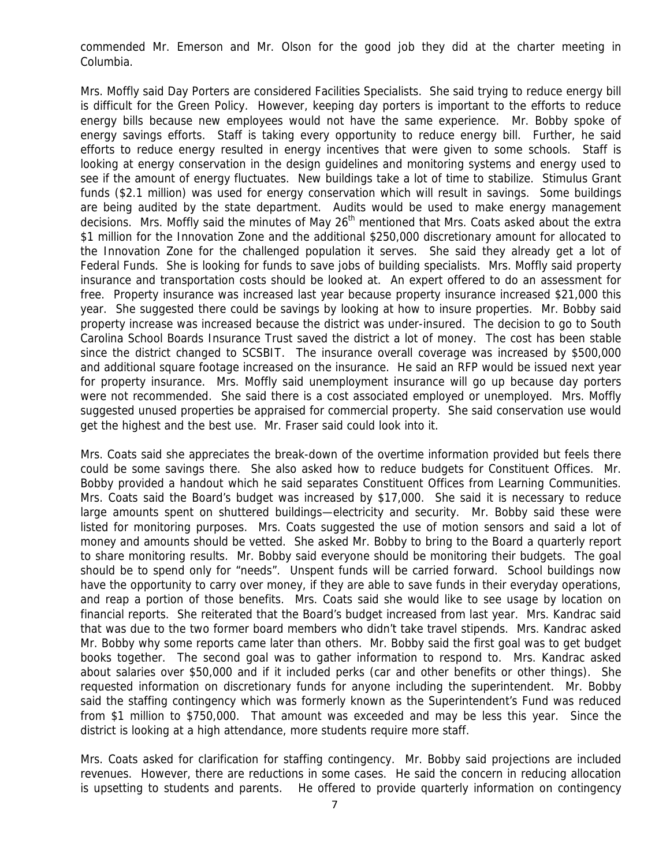commended Mr. Emerson and Mr. Olson for the good job they did at the charter meeting in Columbia.

 Mrs. Moffly said Day Porters are considered Facilities Specialists. She said trying to reduce energy bill is difficult for the Green Policy. However, keeping day porters is important to the efforts to reduce energy bills because new employees would not have the same experience. Mr. Bobby spoke of energy savings efforts. Staff is taking every opportunity to reduce energy bill. Further, he said efforts to reduce energy resulted in energy incentives that were given to some schools. Staff is looking at energy conservation in the design guidelines and monitoring systems and energy used to see if the amount of energy fluctuates. New buildings take a lot of time to stabilize. Stimulus Grant funds (\$2.1 million) was used for energy conservation which will result in savings. Some buildings are being audited by the state department. Audits would be used to make energy management decisions. Mrs. Moffly said the minutes of May 26<sup>th</sup> mentioned that Mrs. Coats asked about the extra \$1 million for the Innovation Zone and the additional \$250,000 discretionary amount for allocated to the Innovation Zone for the challenged population it serves. She said they already get a lot of Federal Funds. She is looking for funds to save jobs of building specialists. Mrs. Moffly said property insurance and transportation costs should be looked at. An expert offered to do an assessment for free. Property insurance was increased last year because property insurance increased \$21,000 this year. She suggested there could be savings by looking at how to insure properties. Mr. Bobby said property increase was increased because the district was under-insured. The decision to go to South Carolina School Boards Insurance Trust saved the district a lot of money. The cost has been stable since the district changed to SCSBIT. The insurance overall coverage was increased by \$500,000 and additional square footage increased on the insurance. He said an RFP would be issued next year for property insurance. Mrs. Moffly said unemployment insurance will go up because day porters were not recommended. She said there is a cost associated employed or unemployed. Mrs. Moffly suggested unused properties be appraised for commercial property. She said conservation use would get the highest and the best use. Mr. Fraser said could look into it.

 Mrs. Coats said she appreciates the break-down of the overtime information provided but feels there could be some savings there. She also asked how to reduce budgets for Constituent Offices. Mr. Bobby provided a handout which he said separates Constituent Offices from Learning Communities. Mrs. Coats said the Board's budget was increased by \$17,000. She said it is necessary to reduce large amounts spent on shuttered buildings—electricity and security. Mr. Bobby said these were listed for monitoring purposes. Mrs. Coats suggested the use of motion sensors and said a lot of money and amounts should be vetted. She asked Mr. Bobby to bring to the Board a quarterly report to share monitoring results. Mr. Bobby said everyone should be monitoring their budgets. The goal should be to spend only for "needs". Unspent funds will be carried forward. School buildings now have the opportunity to carry over money, if they are able to save funds in their everyday operations, and reap a portion of those benefits. Mrs. Coats said she would like to see usage by location on financial reports. She reiterated that the Board's budget increased from last year. Mrs. Kandrac said that was due to the two former board members who didn't take travel stipends. Mrs. Kandrac asked Mr. Bobby why some reports came later than others. Mr. Bobby said the first goal was to get budget books together. The second goal was to gather information to respond to. Mrs. Kandrac asked about salaries over \$50,000 and if it included perks (car and other benefits or other things). She requested information on discretionary funds for anyone including the superintendent. Mr. Bobby said the staffing contingency which was formerly known as the Superintendent's Fund was reduced from \$1 million to \$750,000. That amount was exceeded and may be less this year. Since the district is looking at a high attendance, more students require more staff.

 Mrs. Coats asked for clarification for staffing contingency. Mr. Bobby said projections are included revenues. However, there are reductions in some cases. He said the concern in reducing allocation is upsetting to students and parents. He offered to provide quarterly information on contingency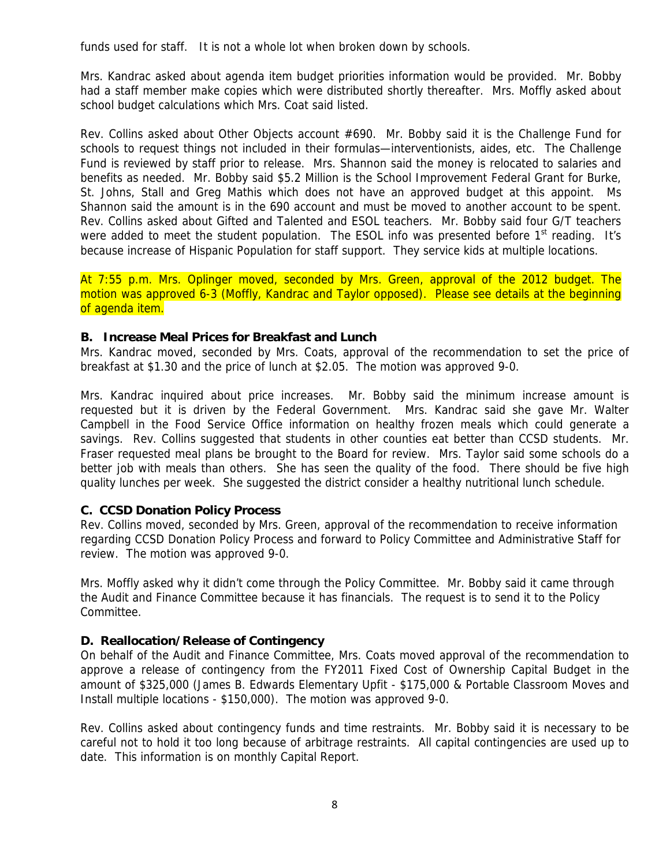funds used for staff. It is not a whole lot when broken down by schools.

 Mrs. Kandrac asked about agenda item budget priorities information would be provided. Mr. Bobby had a staff member make copies which were distributed shortly thereafter. Mrs. Moffly asked about school budget calculations which Mrs. Coat said listed.

 Rev. Collins asked about Other Objects account #690. Mr. Bobby said it is the Challenge Fund for schools to request things not included in their formulas—interventionists, aides, etc. The Challenge Fund is reviewed by staff prior to release. Mrs. Shannon said the money is relocated to salaries and benefits as needed. Mr. Bobby said \$5.2 Million is the School Improvement Federal Grant for Burke, St. Johns, Stall and Greg Mathis which does not have an approved budget at this appoint. Ms Shannon said the amount is in the 690 account and must be moved to another account to be spent. Rev. Collins asked about Gifted and Talented and ESOL teachers. Mr. Bobby said four G/T teachers were added to meet the student population. The ESOL info was presented before  $1<sup>st</sup>$  reading. It's because increase of Hispanic Population for staff support. They service kids at multiple locations.

 At 7:55 p.m. Mrs. Oplinger moved, seconded by Mrs. Green, approval of the 2012 budget. The motion was approved 6-3 (Moffly, Kandrac and Taylor opposed). Please see details at the beginning of agenda item.

#### **B. Increase Meal Prices for Breakfast and Lunch**

 Mrs. Kandrac moved, seconded by Mrs. Coats, approval of the recommendation to set the price of breakfast at \$1.30 and the price of lunch at \$2.05. The motion was approved 9-0.

 Mrs. Kandrac inquired about price increases. Mr. Bobby said the minimum increase amount is requested but it is driven by the Federal Government. Mrs. Kandrac said she gave Mr. Walter Campbell in the Food Service Office information on healthy frozen meals which could generate a savings. Rev. Collins suggested that students in other counties eat better than CCSD students. Mr. Fraser requested meal plans be brought to the Board for review. Mrs. Taylor said some schools do a better job with meals than others. She has seen the quality of the food. There should be five high quality lunches per week. She suggested the district consider a healthy nutritional lunch schedule.

#### **C. CCSD Donation Policy Process**

 Rev. Collins moved, seconded by Mrs. Green, approval of the recommendation to receive information regarding CCSD Donation Policy Process and forward to Policy Committee and Administrative Staff for review. The motion was approved 9-0.

 Mrs. Moffly asked why it didn't come through the Policy Committee. Mr. Bobby said it came through the Audit and Finance Committee because it has financials. The request is to send it to the Policy Committee.

#### **D. Reallocation/Release of Contingency**

 On behalf of the Audit and Finance Committee, Mrs. Coats moved approval of the recommendation to approve a release of contingency from the FY2011 Fixed Cost of Ownership Capital Budget in the amount of \$325,000 (James B. Edwards Elementary Upfit - \$175,000 & Portable Classroom Moves and Install multiple locations - \$150,000). The motion was approved 9-0.

 Rev. Collins asked about contingency funds and time restraints. Mr. Bobby said it is necessary to be careful not to hold it too long because of arbitrage restraints. All capital contingencies are used up to date. This information is on monthly Capital Report.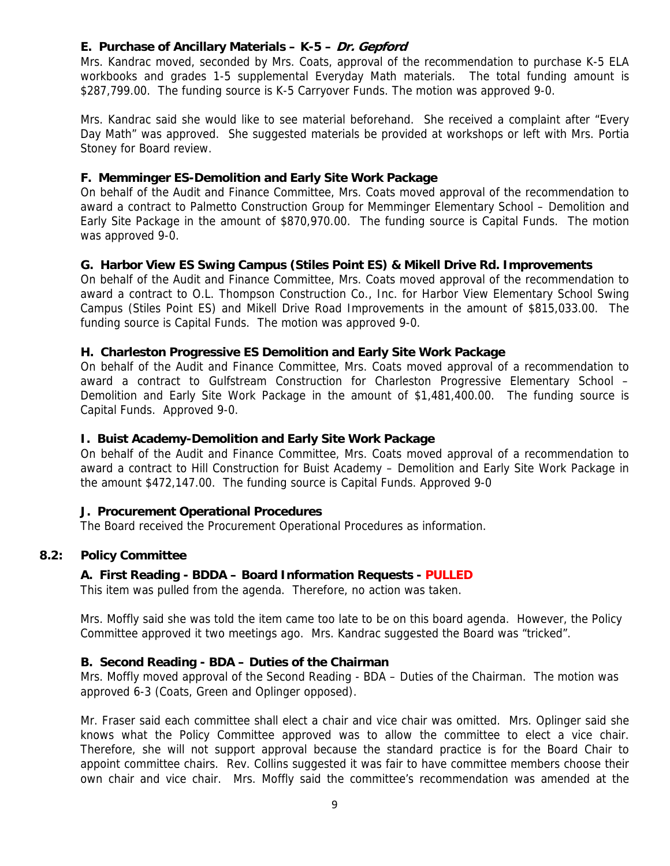# **E. Purchase of Ancillary Materials – K-5 – Dr. Gepford**

 Mrs. Kandrac moved, seconded by Mrs. Coats, approval of the recommendation to purchase K-5 ELA workbooks and grades 1-5 supplemental Everyday Math materials. The total funding amount is \$287,799.00. The funding source is K-5 Carryover Funds. The motion was approved 9-0.

 Mrs. Kandrac said she would like to see material beforehand. She received a complaint after "Every Day Math" was approved. She suggested materials be provided at workshops or left with Mrs. Portia Stoney for Board review.

#### **F. Memminger ES-Demolition and Early Site Work Package**

 On behalf of the Audit and Finance Committee, Mrs. Coats moved approval of the recommendation to award a contract to Palmetto Construction Group for Memminger Elementary School – Demolition and Early Site Package in the amount of \$870,970.00. The funding source is Capital Funds. The motion was approved 9-0.

#### **G. Harbor View ES Swing Campus (Stiles Point ES) & Mikell Drive Rd. Improvements**

 On behalf of the Audit and Finance Committee, Mrs. Coats moved approval of the recommendation to award a contract to O.L. Thompson Construction Co., Inc. for Harbor View Elementary School Swing Campus (Stiles Point ES) and Mikell Drive Road Improvements in the amount of \$815,033.00. The funding source is Capital Funds. The motion was approved 9-0.

#### **H. Charleston Progressive ES Demolition and Early Site Work Package**

 On behalf of the Audit and Finance Committee, Mrs. Coats moved approval of a recommendation to award a contract to Gulfstream Construction for Charleston Progressive Elementary School – Demolition and Early Site Work Package in the amount of \$1,481,400.00. The funding source is Capital Funds. Approved 9-0.

#### **I. Buist Academy-Demolition and Early Site Work Package**

 On behalf of the Audit and Finance Committee, Mrs. Coats moved approval of a recommendation to award a contract to Hill Construction for Buist Academy – Demolition and Early Site Work Package in the amount \$472,147.00. The funding source is Capital Funds. Approved 9-0

#### **J. Procurement Operational Procedures**

The Board received the Procurement Operational Procedures as information.

#### **8.2: Policy Committee**

#### **A. First Reading - BDDA – Board Information Requests - PULLED**

This item was pulled from the agenda. Therefore, no action was taken.

Mrs. Moffly said she was told the item came too late to be on this board agenda. However, the Policy Committee approved it two meetings ago. Mrs. Kandrac suggested the Board was "tricked".

#### **B. Second Reading - BDA – Duties of the Chairman**

 Mrs. Moffly moved approval of the Second Reading - BDA – Duties of the Chairman. The motion was approved 6-3 (Coats, Green and Oplinger opposed).

 Mr. Fraser said each committee shall elect a chair and vice chair was omitted. Mrs. Oplinger said she knows what the Policy Committee approved was to allow the committee to elect a vice chair. Therefore, she will not support approval because the standard practice is for the Board Chair to appoint committee chairs. Rev. Collins suggested it was fair to have committee members choose their own chair and vice chair. Mrs. Moffly said the committee's recommendation was amended at the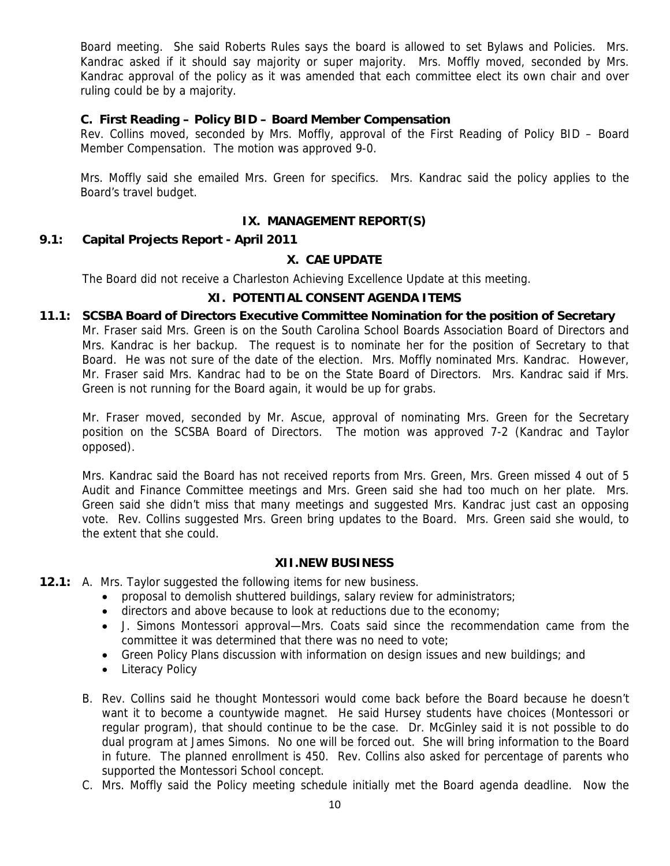Board meeting. She said Roberts Rules says the board is allowed to set Bylaws and Policies. Mrs. Kandrac asked if it should say majority or super majority. Mrs. Moffly moved, seconded by Mrs. Kandrac approval of the policy as it was amended that each committee elect its own chair and over ruling could be by a majority.

#### **C. First Reading – Policy BID – Board Member Compensation**

 Rev. Collins moved, seconded by Mrs. Moffly, approval of the First Reading of Policy BID – Board Member Compensation. The motion was approved 9-0.

 Mrs. Moffly said she emailed Mrs. Green for specifics. Mrs. Kandrac said the policy applies to the Board's travel budget.

## **IX. MANAGEMENT REPORT(S)**

#### **9.1: Capital Projects Report - April 2011**

# **X. CAE UPDATE**

The Board did not receive a Charleston Achieving Excellence Update at this meeting.

# **XI. POTENTIAL CONSENT AGENDA ITEMS**

#### **11.1: SCSBA Board of Directors Executive Committee Nomination for the position of Secretary**

Mr. Fraser said Mrs. Green is on the South Carolina School Boards Association Board of Directors and Mrs. Kandrac is her backup. The request is to nominate her for the position of Secretary to that Board. He was not sure of the date of the election. Mrs. Moffly nominated Mrs. Kandrac. However, Mr. Fraser said Mrs. Kandrac had to be on the State Board of Directors. Mrs. Kandrac said if Mrs. Green is not running for the Board again, it would be up for grabs.

 Mr. Fraser moved, seconded by Mr. Ascue, approval of nominating Mrs. Green for the Secretary position on the SCSBA Board of Directors. The motion was approved 7-2 (Kandrac and Taylor opposed).

Mrs. Kandrac said the Board has not received reports from Mrs. Green, Mrs. Green missed 4 out of 5 Audit and Finance Committee meetings and Mrs. Green said she had too much on her plate. Mrs. Green said she didn't miss that many meetings and suggested Mrs. Kandrac just cast an opposing vote. Rev. Collins suggested Mrs. Green bring updates to the Board. Mrs. Green said she would, to the extent that she could.

#### **XII.NEW BUSINESS**

- **12.1:** A. Mrs. Taylor suggested the following items for new business.
	- proposal to demolish shuttered buildings, salary review for administrators;
	- directors and above because to look at reductions due to the economy;
	- J. Simons Montessori approval—Mrs. Coats said since the recommendation came from the committee it was determined that there was no need to vote;
	- Green Policy Plans discussion with information on design issues and new buildings; and
	- Literacy Policy
	- B. Rev. Collins said he thought Montessori would come back before the Board because he doesn't want it to become a countywide magnet. He said Hursey students have choices (Montessori or regular program), that should continue to be the case. Dr. McGinley said it is not possible to do dual program at James Simons. No one will be forced out. She will bring information to the Board in future. The planned enrollment is 450. Rev. Collins also asked for percentage of parents who supported the Montessori School concept.
	- C. Mrs. Moffly said the Policy meeting schedule initially met the Board agenda deadline. Now the